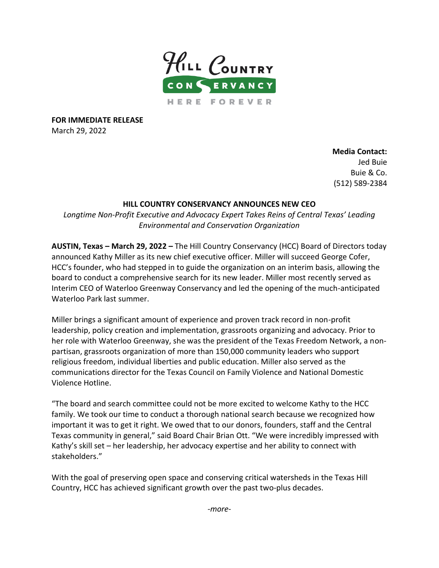

**FOR IMMEDIATE RELEASE** March 29, 2022

> **Media Contact:** Jed Buie Buie & Co. (512) 589-2384

## **HILL COUNTRY CONSERVANCY ANNOUNCES NEW CEO**

*Longtime Non-Profit Executive and Advocacy Expert Takes Reins of Central Texas' Leading Environmental and Conservation Organization*

**AUSTIN, Texas – March 29, 2022 –** The Hill Country Conservancy (HCC) Board of Directors today announced Kathy Miller as its new chief executive officer. Miller will succeed George Cofer, HCC's founder, who had stepped in to guide the organization on an interim basis, allowing the board to conduct a comprehensive search for its new leader. Miller most recently served as Interim CEO of Waterloo Greenway Conservancy and led the opening of the much-anticipated Waterloo Park last summer.

Miller brings a significant amount of experience and proven track record in non-profit leadership, policy creation and implementation, grassroots organizing and advocacy. Prior to her role with Waterloo Greenway, she was the president of the Texas Freedom Network, a nonpartisan, grassroots organization of more than 150,000 community leaders who support religious freedom, individual liberties and public education. Miller also served as the communications director for the Texas Council on Family Violence and National Domestic Violence Hotline.

"The board and search committee could not be more excited to welcome Kathy to the HCC family. We took our time to conduct a thorough national search because we recognized how important it was to get it right. We owed that to our donors, founders, staff and the Central Texas community in general," said Board Chair Brian Ott. "We were incredibly impressed with Kathy's skill set – her leadership, her advocacy expertise and her ability to connect with stakeholders."

With the goal of preserving open space and conserving critical watersheds in the Texas Hill Country, HCC has achieved significant growth over the past two-plus decades.